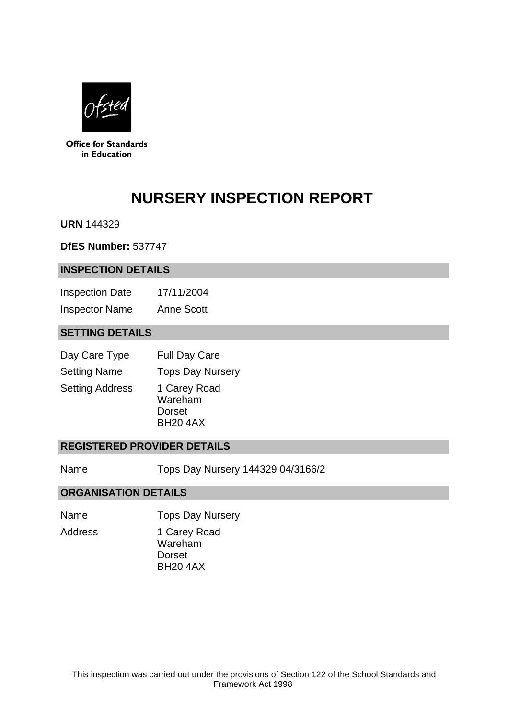

**Office for Standards** in Education

# **NURSERY INSPECTION REPORT**

**URN** 144329

**DfES Number:** 537747

#### **INSPECTION DETAILS**

Inspection Date 17/11/2004 Inspector Name Anne Scott

## **SETTING DETAILS**

| Day Care Type          | <b>Full Day Care</b>                                 |
|------------------------|------------------------------------------------------|
| <b>Setting Name</b>    | <b>Tops Day Nursery</b>                              |
| <b>Setting Address</b> | 1 Carey Road<br>Wareham<br>Dorset<br><b>BH20 4AX</b> |

#### **REGISTERED PROVIDER DETAILS**

Name Tops Day Nursery 144329 04/3166/2

#### **ORGANISATION DETAILS**

Name **Tops Day Nursery** 

Address 1 Carey Road

Wareham Dorset BH20 4AX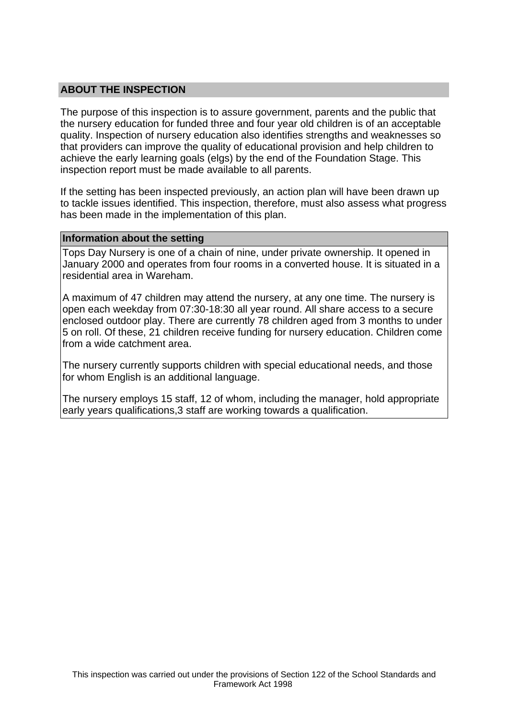## **ABOUT THE INSPECTION**

The purpose of this inspection is to assure government, parents and the public that the nursery education for funded three and four year old children is of an acceptable quality. Inspection of nursery education also identifies strengths and weaknesses so that providers can improve the quality of educational provision and help children to achieve the early learning goals (elgs) by the end of the Foundation Stage. This inspection report must be made available to all parents.

If the setting has been inspected previously, an action plan will have been drawn up to tackle issues identified. This inspection, therefore, must also assess what progress has been made in the implementation of this plan.

#### **Information about the setting**

Tops Day Nursery is one of a chain of nine, under private ownership. It opened in January 2000 and operates from four rooms in a converted house. It is situated in a residential area in Wareham.

A maximum of 47 children may attend the nursery, at any one time. The nursery is open each weekday from 07:30-18:30 all year round. All share access to a secure enclosed outdoor play. There are currently 78 children aged from 3 months to under 5 on roll. Of these, 21 children receive funding for nursery education. Children come from a wide catchment area.

The nursery currently supports children with special educational needs, and those for whom English is an additional language.

The nursery employs 15 staff, 12 of whom, including the manager, hold appropriate early years qualifications, 3 staff are working towards a qualification.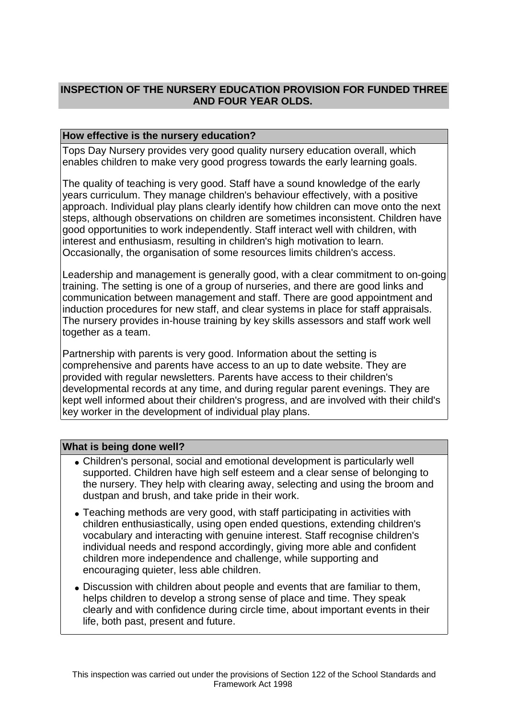# **INSPECTION OF THE NURSERY EDUCATION PROVISION FOR FUNDED THREE AND FOUR YEAR OLDS.**

## **How effective is the nursery education?**

Tops Day Nursery provides very good quality nursery education overall, which enables children to make very good progress towards the early learning goals.

The quality of teaching is very good. Staff have a sound knowledge of the early years curriculum. They manage children's behaviour effectively, with a positive approach. Individual play plans clearly identify how children can move onto the next steps, although observations on children are sometimes inconsistent. Children have good opportunities to work independently. Staff interact well with children, with interest and enthusiasm, resulting in children's high motivation to learn. Occasionally, the organisation of some resources limits children's access.

Leadership and management is generally good, with a clear commitment to on-going training. The setting is one of a group of nurseries, and there are good links and communication between management and staff. There are good appointment and induction procedures for new staff, and clear systems in place for staff appraisals. The nursery provides in-house training by key skills assessors and staff work well together as a team.

Partnership with parents is very good. Information about the setting is comprehensive and parents have access to an up to date website. They are provided with regular newsletters. Parents have access to their children's developmental records at any time, and during regular parent evenings. They are kept well informed about their children's progress, and are involved with their child's key worker in the development of individual play plans.

## **What is being done well?**

- Children's personal, social and emotional development is particularly well supported. Children have high self esteem and a clear sense of belonging to the nursery. They help with clearing away, selecting and using the broom and dustpan and brush, and take pride in their work.
- Teaching methods are very good, with staff participating in activities with children enthusiastically, using open ended questions, extending children's vocabulary and interacting with genuine interest. Staff recognise children's individual needs and respond accordingly, giving more able and confident children more independence and challenge, while supporting and encouraging quieter, less able children.
- Discussion with children about people and events that are familiar to them, helps children to develop a strong sense of place and time. They speak clearly and with confidence during circle time, about important events in their life, both past, present and future.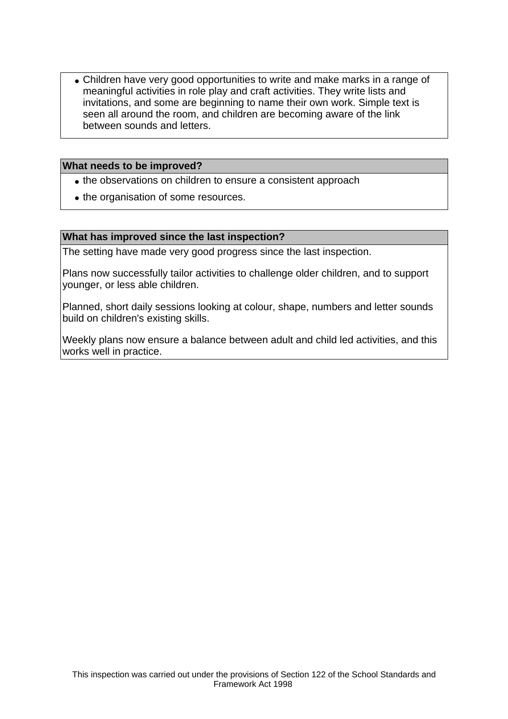• Children have very good opportunities to write and make marks in a range of meaningful activities in role play and craft activities. They write lists and invitations, and some are beginning to name their own work. Simple text is seen all around the room, and children are becoming aware of the link between sounds and letters.

## **What needs to be improved?**

- the observations on children to ensure a consistent approach
- the organisation of some resources.

#### **What has improved since the last inspection?**

The setting have made very good progress since the last inspection.

Plans now successfully tailor activities to challenge older children, and to support younger, or less able children.

Planned, short daily sessions looking at colour, shape, numbers and letter sounds build on children's existing skills.

Weekly plans now ensure a balance between adult and child led activities, and this works well in practice.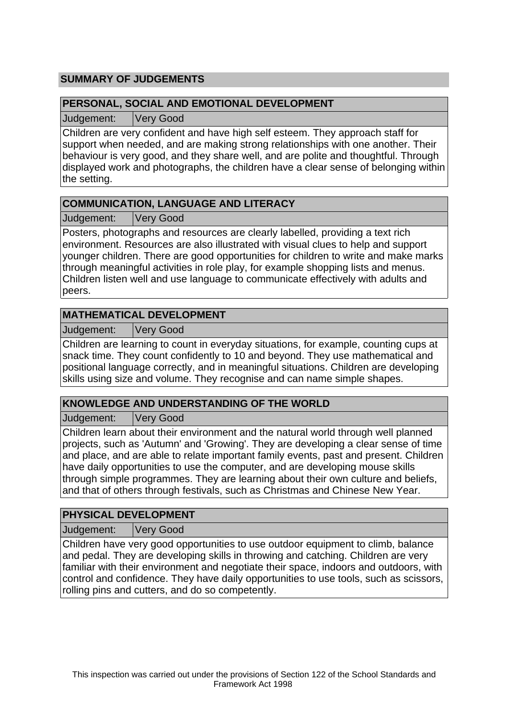# **SUMMARY OF JUDGEMENTS**

## **PERSONAL, SOCIAL AND EMOTIONAL DEVELOPMENT**

Judgement: Very Good

Children are very confident and have high self esteem. They approach staff for support when needed, and are making strong relationships with one another. Their behaviour is very good, and they share well, and are polite and thoughtful. Through displayed work and photographs, the children have a clear sense of belonging within the setting.

## **COMMUNICATION, LANGUAGE AND LITERACY**

Judgement: Very Good

Posters, photographs and resources are clearly labelled, providing a text rich environment. Resources are also illustrated with visual clues to help and support younger children. There are good opportunities for children to write and make marks through meaningful activities in role play, for example shopping lists and menus. Children listen well and use language to communicate effectively with adults and peers.

# **MATHEMATICAL DEVELOPMENT**

Judgement: Very Good

Children are learning to count in everyday situations, for example, counting cups at snack time. They count confidently to 10 and beyond. They use mathematical and positional language correctly, and in meaningful situations. Children are developing skills using size and volume. They recognise and can name simple shapes.

# **KNOWLEDGE AND UNDERSTANDING OF THE WORLD**

Judgement: Very Good

Children learn about their environment and the natural world through well planned projects, such as 'Autumn' and 'Growing'. They are developing a clear sense of time and place, and are able to relate important family events, past and present. Children have daily opportunities to use the computer, and are developing mouse skills through simple programmes. They are learning about their own culture and beliefs, and that of others through festivals, such as Christmas and Chinese New Year.

# **PHYSICAL DEVELOPMENT**

Judgement: Very Good

Children have very good opportunities to use outdoor equipment to climb, balance and pedal. They are developing skills in throwing and catching. Children are very familiar with their environment and negotiate their space, indoors and outdoors, with control and confidence. They have daily opportunities to use tools, such as scissors, rolling pins and cutters, and do so competently.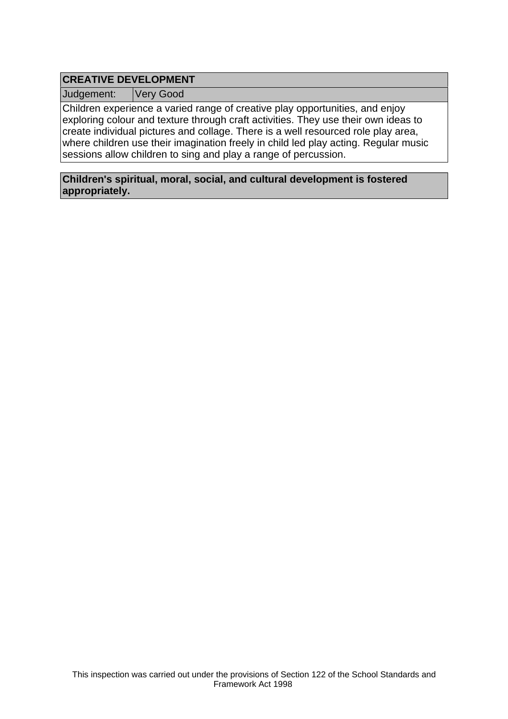# **CREATIVE DEVELOPMENT**

Judgement: Very Good

Children experience a varied range of creative play opportunities, and enjoy exploring colour and texture through craft activities. They use their own ideas to create individual pictures and collage. There is a well resourced role play area, where children use their imagination freely in child led play acting. Regular music sessions allow children to sing and play a range of percussion.

**Children's spiritual, moral, social, and cultural development is fostered appropriately.**